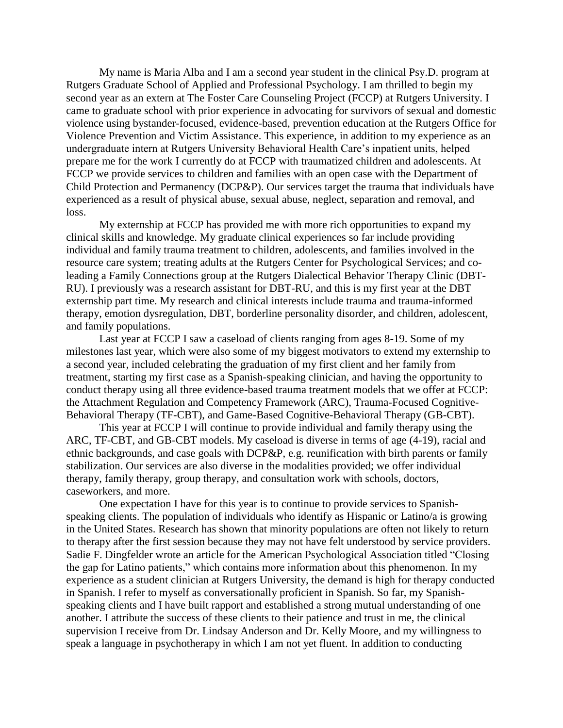My name is Maria Alba and I am a second year student in the clinical Psy.D. program at Rutgers Graduate School of Applied and Professional Psychology. I am thrilled to begin my second year as an extern at The Foster Care Counseling Project (FCCP) at Rutgers University. I came to graduate school with prior experience in advocating for survivors of sexual and domestic violence using bystander-focused, evidence-based, prevention education at the Rutgers Office for Violence Prevention and Victim Assistance. This experience, in addition to my experience as an undergraduate intern at Rutgers University Behavioral Health Care's inpatient units, helped prepare me for the work I currently do at FCCP with traumatized children and adolescents. At FCCP we provide services to children and families with an open case with the Department of Child Protection and Permanency (DCP&P). Our services target the trauma that individuals have experienced as a result of physical abuse, sexual abuse, neglect, separation and removal, and loss.

My externship at FCCP has provided me with more rich opportunities to expand my clinical skills and knowledge. My graduate clinical experiences so far include providing individual and family trauma treatment to children, adolescents, and families involved in the resource care system; treating adults at the Rutgers Center for Psychological Services; and coleading a Family Connections group at the Rutgers Dialectical Behavior Therapy Clinic (DBT-RU). I previously was a research assistant for DBT-RU, and this is my first year at the DBT externship part time. My research and clinical interests include trauma and trauma-informed therapy, emotion dysregulation, DBT, borderline personality disorder, and children, adolescent, and family populations.

Last year at FCCP I saw a caseload of clients ranging from ages 8-19. Some of my milestones last year, which were also some of my biggest motivators to extend my externship to a second year, included celebrating the graduation of my first client and her family from treatment, starting my first case as a Spanish-speaking clinician, and having the opportunity to conduct therapy using all three evidence-based trauma treatment models that we offer at FCCP: the Attachment Regulation and Competency Framework (ARC), Trauma-Focused Cognitive-Behavioral Therapy (TF-CBT), and Game-Based Cognitive-Behavioral Therapy (GB-CBT).

This year at FCCP I will continue to provide individual and family therapy using the ARC, TF-CBT, and GB-CBT models. My caseload is diverse in terms of age (4-19), racial and ethnic backgrounds, and case goals with DCP&P, e.g. reunification with birth parents or family stabilization. Our services are also diverse in the modalities provided; we offer individual therapy, family therapy, group therapy, and consultation work with schools, doctors, caseworkers, and more.

One expectation I have for this year is to continue to provide services to Spanishspeaking clients. The population of individuals who identify as Hispanic or Latino/a is growing in the United States. Research has shown that minority populations are often not likely to return to therapy after the first session because they may not have felt understood by service providers. Sadie F. Dingfelder wrote an article for the American Psychological Association titled "Closing the gap for Latino patients," which contains more information about this phenomenon. In my experience as a student clinician at Rutgers University, the demand is high for therapy conducted in Spanish. I refer to myself as conversationally proficient in Spanish. So far, my Spanishspeaking clients and I have built rapport and established a strong mutual understanding of one another. I attribute the success of these clients to their patience and trust in me, the clinical supervision I receive from Dr. Lindsay Anderson and Dr. Kelly Moore, and my willingness to speak a language in psychotherapy in which I am not yet fluent. In addition to conducting